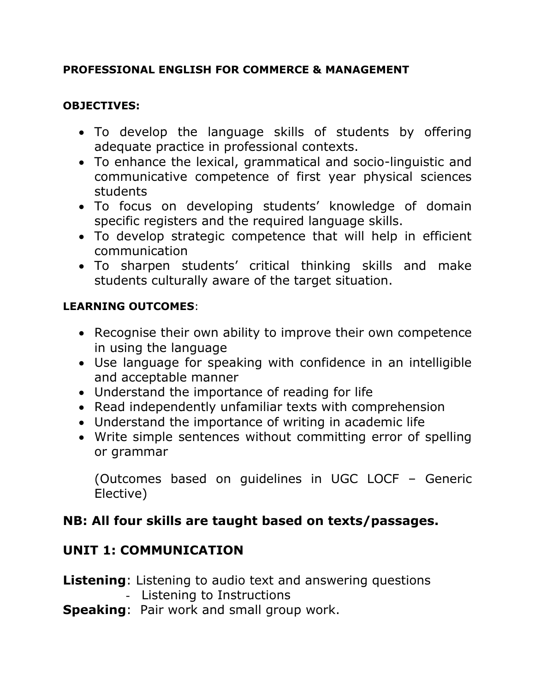### **PROFESSIONAL ENGLISH FOR COMMERCE & MANAGEMENT**

#### **OBJECTIVES:**

- To develop the language skills of students by offering adequate practice in professional contexts.
- To enhance the lexical, grammatical and socio-linguistic and communicative competence of first year physical sciences students
- To focus on developing students' knowledge of domain specific registers and the required language skills.
- To develop strategic competence that will help in efficient communication
- To sharpen students' critical thinking skills and make students culturally aware of the target situation.

### **LEARNING OUTCOMES**:

- Recognise their own ability to improve their own competence in using the language
- Use language for speaking with confidence in an intelligible and acceptable manner
- Understand the importance of reading for life
- Read independently unfamiliar texts with comprehension
- Understand the importance of writing in academic life
- Write simple sentences without committing error of spelling or grammar

(Outcomes based on guidelines in UGC LOCF – Generic Elective)

## **NB: All four skills are taught based on texts/passages.**

## **UNIT 1: COMMUNICATION**

# **Listening**: Listening to audio text and answering questions

- Listening to Instructions
- **Speaking**: Pair work and small group work.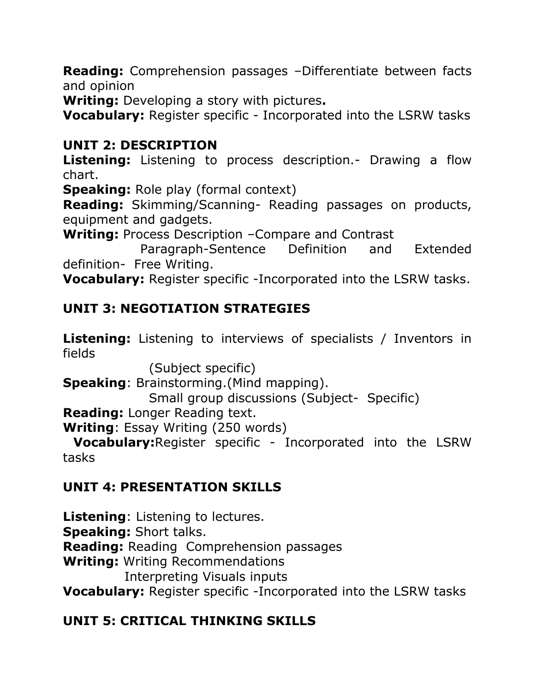**Reading:** Comprehension passages –Differentiate between facts and opinion

**Writing:** Developing a story with pictures**.**

**Vocabulary:** Register specific - Incorporated into the LSRW tasks

## **UNIT 2: DESCRIPTION**

**Listening:** Listening to process description.- Drawing a flow chart.

**Speaking: Role play (formal context)** 

**Reading:** Skimming/Scanning- Reading passages on products, equipment and gadgets.

**Writing:** Process Description –Compare and Contrast

 Paragraph-Sentence Definition and Extended definition- Free Writing.

**Vocabulary:** Register specific -Incorporated into the LSRW tasks.

# **UNIT 3: NEGOTIATION STRATEGIES**

**Listening:** Listening to interviews of specialists / Inventors in fields

(Subject specific)

**Speaking**: Brainstorming.(Mind mapping).

Small group discussions (Subject- Specific)

**Reading:** Longer Reading text.

**Writing**: Essay Writing (250 words)

 **Vocabulary:**Register specific - Incorporated into the LSRW tasks

# **UNIT 4: PRESENTATION SKILLS**

**Listening**: Listening to lectures. **Speaking:** Short talks.

**Reading:** Reading Comprehension passages

**Writing:** Writing Recommendations

Interpreting Visuals inputs

**Vocabulary:** Register specific -Incorporated into the LSRW tasks

# **UNIT 5: CRITICAL THINKING SKILLS**